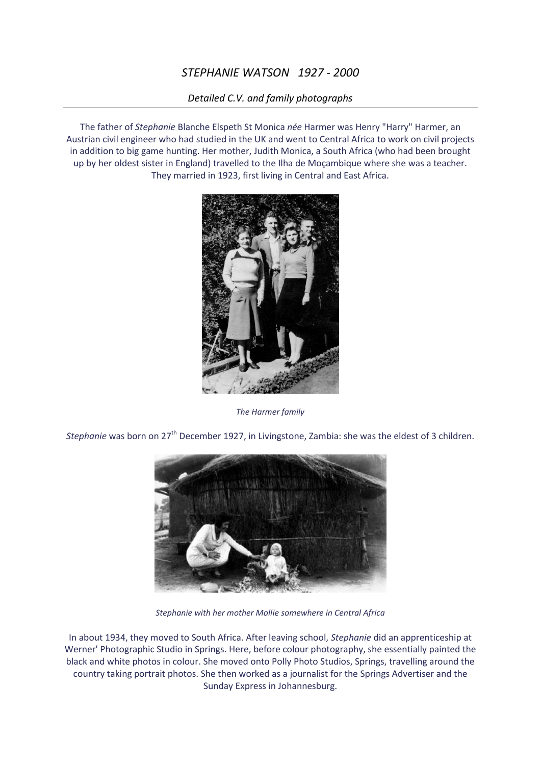## *STEPHANIE WATSON 1927 - 2000*

## *Detailed C.V. and family photographs*

The father of *Stephanie* Blanche Elspeth St Monica *née* Harmer was Henry "Harry" Harmer, an Austrian civil engineer who had studied in the UK and went to Central Africa to work on civil projects in addition to big game hunting. Her mother, Judith Monica, a South Africa (who had been brought up by her oldest sister in England) travelled to the Ilha de Moçambique where she was a teacher. They married in 1923, first living in Central and East Africa.



*The Harmer family*

*Stephanie* was born on 27<sup>th</sup> December 1927, in Livingstone, Zambia: she was the eldest of 3 children.



*Stephanie with her mother Mollie somewhere in Central Africa*

In about 1934, they moved to South Africa. After leaving school, *Stephanie* did an apprenticeship at Werner' Photographic Studio in Springs. Here, before colour photography, she essentially painted the black and white photos in colour. She moved onto Polly Photo Studios, Springs, travelling around the country taking portrait photos. She then worked as a journalist for the Springs Advertiser and the Sunday Express in Johannesburg.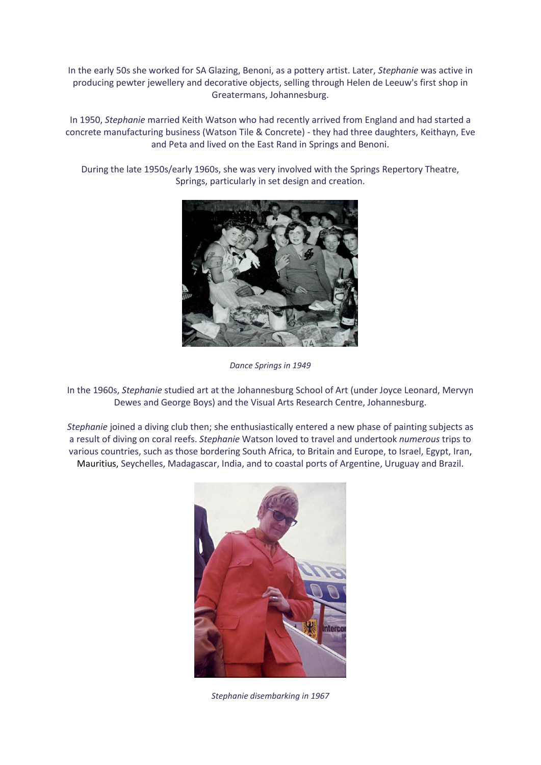In the early 50s she worked for SA Glazing, Benoni, as a pottery artist. Later, *Stephanie* was active in producing pewter jewellery and decorative objects, selling through Helen de Leeuw's first shop in Greatermans, Johannesburg.

In 1950, *Stephanie* married Keith Watson who had recently arrived from England and had started a concrete manufacturing business (Watson Tile & Concrete) - they had three daughters, Keithayn, Eve and Peta and lived on the East Rand in Springs and Benoni.

During the late 1950s/early 1960s, she was very involved with the Springs Repertory Theatre, Springs, particularly in set design and creation.



*Dance Springs in 1949*

In the 1960s, *Stephanie* studied art at the Johannesburg School of Art (under Joyce Leonard, Mervyn Dewes and George Boys) and the Visual Arts Research Centre, Johannesburg.

*Stephanie* joined a diving club then; she enthusiastically entered a new phase of painting subjects as a result of diving on coral reefs. *Stephanie* Watson loved to travel and undertook *numerous* trips to various countries, such as those bordering South Africa, to Britain and Europe, to Israel, Egypt, Iran, Mauritius, Seychelles, Madagascar, India, and to coastal ports of Argentine, Uruguay and Brazil.



*Stephanie disembarking in 1967*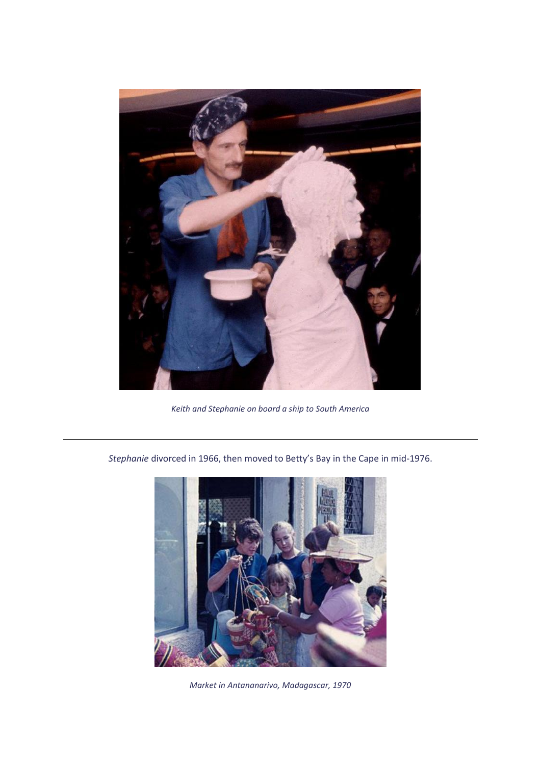

*Keith and Stephanie on board a ship to South America*

*Stephanie* divorced in 1966, then moved to Betty's Bay in the Cape in mid-1976.



*Market in Antananarivo, Madagascar, 1970*